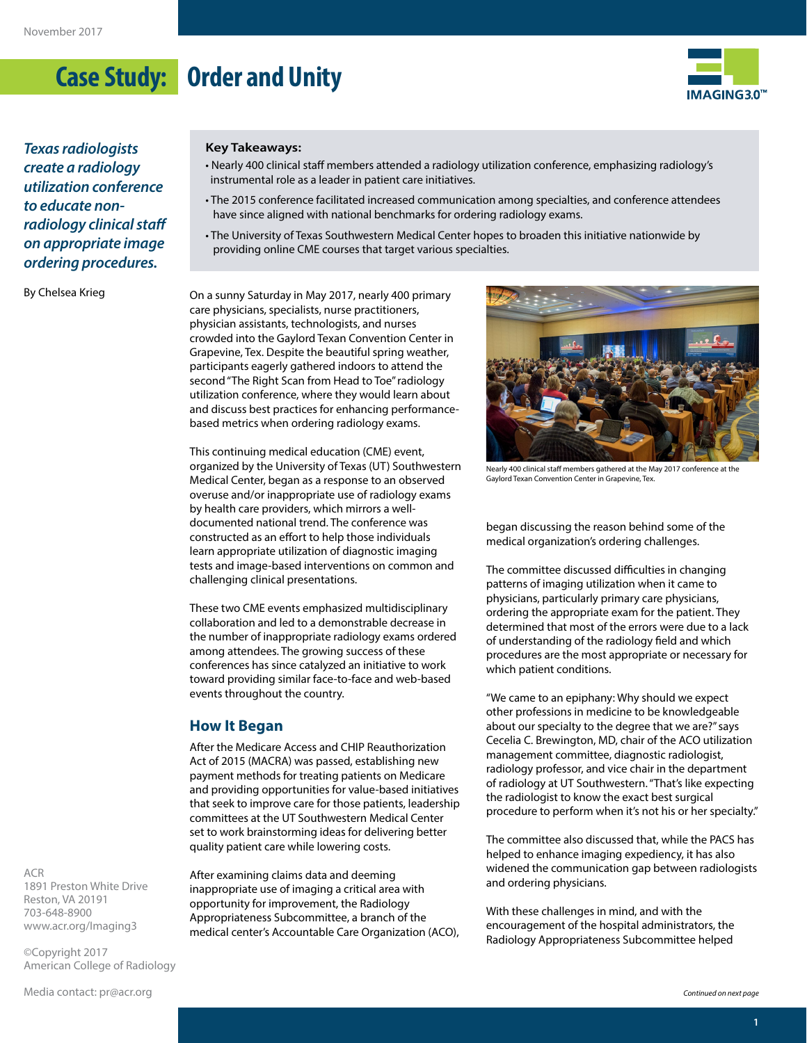## **Case Study: Order and Unity**



*Texas radiologists create a radiology utilization conference to educate nonradiology clinical staff on appropriate image ordering procedures.* 

By Chelsea Krieg

#### **Key Takeaways:**

- Nearly 400 clinical staff members attended a radiology utilization conference, emphasizing radiology's instrumental role as a leader in patient care initiatives.
- The 2015 conference facilitated increased communication among specialties, and conference attendees have since aligned with national benchmarks for ordering radiology exams.
- The University of Texas Southwestern Medical Center hopes to broaden this initiative nationwide by providing online CME courses that target various specialties.

On a sunny Saturday in May 2017, nearly 400 primary care physicians, specialists, nurse practitioners, physician assistants, technologists, and nurses crowded into the Gaylord Texan Convention Center in Grapevine, Tex. Despite the beautiful spring weather, participants eagerly gathered indoors to attend the second "The Right Scan from Head to Toe" radiology utilization conference, where they would learn about and discuss best practices for enhancing performancebased metrics when ordering radiology exams.

This continuing medical education (CME) event, organized by the University of Texas (UT) Southwestern Medical Center, began as a response to an observed overuse and/or inappropriate use of radiology exams by health care providers, which mirrors a welldocumented national trend. The conference was constructed as an effort to help those individuals learn appropriate utilization of diagnostic imaging tests and image-based interventions on common and challenging clinical presentations.

These two CME events emphasized multidisciplinary collaboration and led to a demonstrable decrease in the number of inappropriate radiology exams ordered among attendees. The growing success of these conferences has since catalyzed an initiative to work toward providing similar face-to-face and web-based events throughout the country.

#### **How It Began**

After the Medicare Access and CHIP Reauthorization Act of 2015 (MACRA) was passed, establishing new payment methods for treating patients on Medicare and providing opportunities for value-based initiatives that seek to improve care for those patients, leadership committees at the UT Southwestern Medical Center set to work brainstorming ideas for delivering better quality patient care while lowering costs.

After examining claims data and deeming inappropriate use of imaging a critical area with opportunity for improvement, the Radiology Appropriateness Subcommittee, a branch of the medical center's Accountable Care Organization (ACO),



Nearly 400 clinical staff members gathered at the May 2017 conference at the Gaylord Texan Convention Center in Grapevine, Tex.

began discussing the reason behind some of the medical organization's ordering challenges.

The committee discussed difficulties in changing patterns of imaging utilization when it came to physicians, particularly primary care physicians, ordering the appropriate exam for the patient. They determined that most of the errors were due to a lack of understanding of the radiology field and which procedures are the most appropriate or necessary for which patient conditions.

"We came to an epiphany: Why should we expect other professions in medicine to be knowledgeable about our specialty to the degree that we are?" says Cecelia C. Brewington, MD, chair of the ACO utilization management committee, diagnostic radiologist, radiology professor, and vice chair in the department of radiology at UT Southwestern. "That's like expecting the radiologist to know the exact best surgical procedure to perform when it's not his or her specialty."

The committee also discussed that, while the PACS has helped to enhance imaging expediency, it has also widened the communication gap between radiologists and ordering physicians.

With these challenges in mind, and with the encouragement of the hospital administrators, the Radiology Appropriateness Subcommittee helped

ACR 1891 Preston White Drive Reston, VA 20191 703-648-8900 [www.acr.org/Imaging3](http://www.acr.org/Imaging3)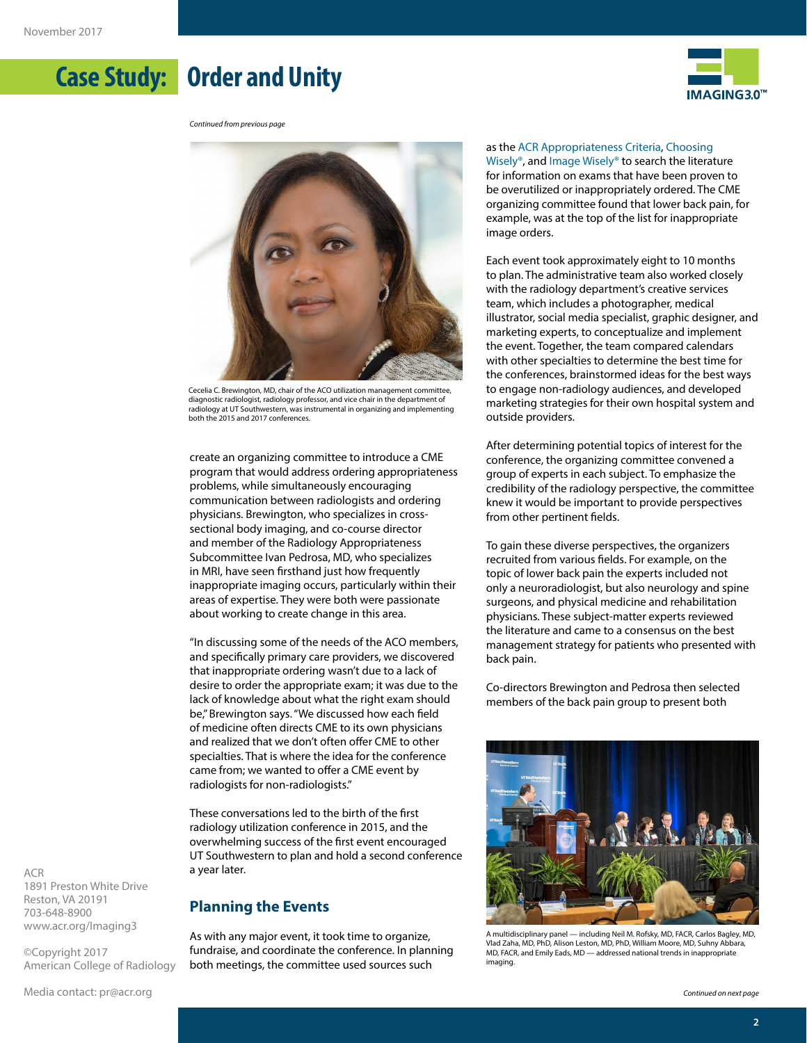# **Case Study: Order and Unity**



*Continued from previous page*



diagnostic radiologist, radiology professor, and vice chair in the department of radiology at UT Southwestern, was instrumental in organizing and implementing both the 2015 and 2017 conferences.

create an organizing committee to introduce a CME program that would address ordering appropriateness problems, while simultaneously encouraging communication between radiologists and ordering physicians. Brewington, who specializes in crosssectional body imaging, and co-course director and member of the Radiology Appropriateness Subcommittee Ivan Pedrosa, MD, who specializes in MRI, have seen firsthand just how frequently inappropriate imaging occurs, particularly within their areas of expertise. They were both were passionate about working to create change in this area.

"In discussing some of the needs of the ACO members, and specifically primary care providers, we discovered that inappropriate ordering wasn't due to a lack of desire to order the appropriate exam; it was due to the lack of knowledge about what the right exam should be," Brewington says. "We discussed how each field of medicine often directs CME to its own physicians and realized that we don't often offer CME to other specialties. That is where the idea for the conference came from; we wanted to offer a CME event by radiologists for non-radiologists."

These conversations led to the birth of the first radiology utilization conference in 2015, and the overwhelming success of the first event encouraged UT Southwestern to plan and hold a second conference a year later.

#### **Planning the Events**

As with any major event, it took time to organize, fundraise, and coordinate the conference. In planning both meetings, the committee used sources such

#### as the [ACR Appropriateness Criteria,](https://www.acr.org/Quality-Safety/Appropriateness-Criteria/About-AC) [Choosing](http://www.choosingwisely.org/)

[Wisely®,](http://www.choosingwisely.org/) and [Image Wisely® t](http://www.imagewisely.org/)o search the literature for information on exams that have been proven to be overutilized or inappropriately ordered. The CME organizing committee found that lower back pain, for example, was at the top of the list for inappropriate image orders.

Each event took approximately eight to 10 months to plan. The administrative team also worked closely with the radiology department's creative services team, which includes a photographer, medical illustrator, social media specialist, graphic designer, and marketing experts, to conceptualize and implement the event. Together, the team compared calendars with other specialties to determine the best time for the conferences, brainstormed ideas for the best ways to engage non-radiology audiences, and developed marketing strategies for their own hospital system and outside providers.

After determining potential topics of interest for the conference, the organizing committee convened a group of experts in each subject. To emphasize the credibility of the radiology perspective, the committee knew it would be important to provide perspectives from other pertinent fields.

To gain these diverse perspectives, the organizers recruited from various fields. For example, on the topic of lower back pain the experts included not only a neuroradiologist, but also neurology and spine surgeons, and physical medicine and rehabilitation physicians. These subject-matter experts reviewed the literature and came to a consensus on the best management strategy for patients who presented with back pain.

Co-directors Brewington and Pedrosa then selected members of the back pain group to present both



A multidisciplinary panel — including Neil M. Rofsky, MD, FACR, Carlos Bagley, MD, Vlad Zaha, MD, PhD, Alison Leston, MD, PhD, William Moore, MD, Suhny Abbara, MD, FACR, and Emily Eads, MD — addressed national trends in inappropriate imaging.

ACR 1891 Preston White Drive Reston, VA 20191 703-648-8900 [www.acr.org/Imaging3](http://www.acr.org/Imaging3)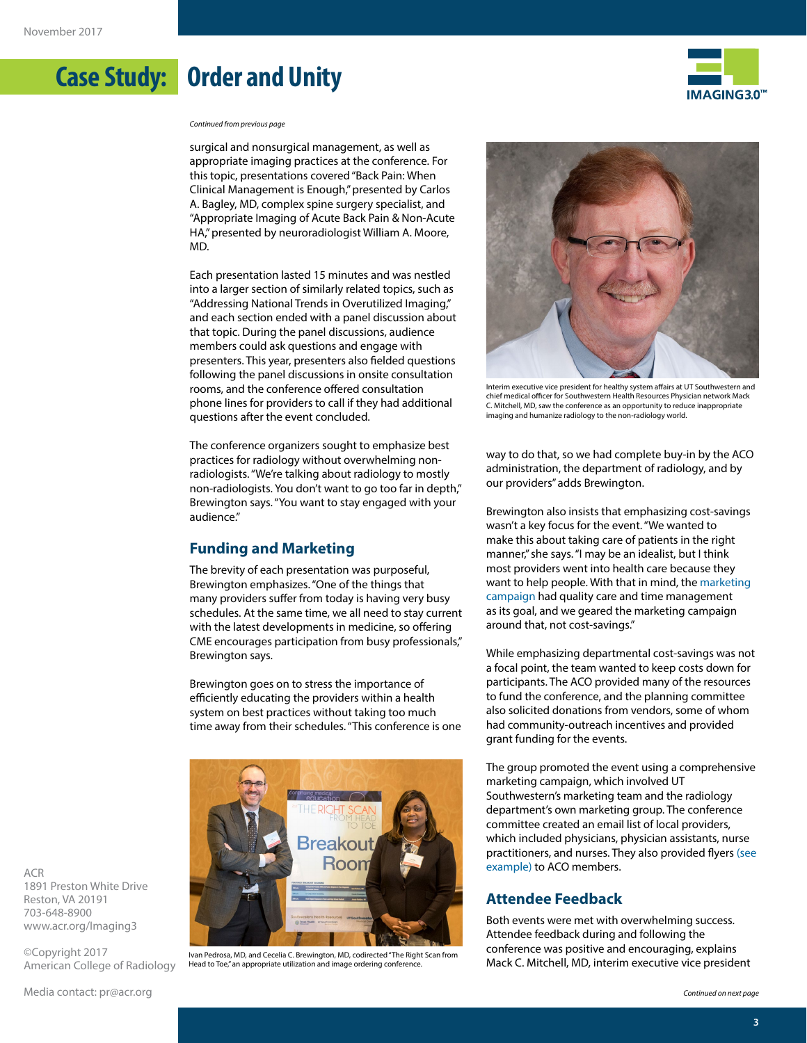

*Continued from previous page*

**Case Study: Order and Unity**

surgical and nonsurgical management, as well as appropriate imaging practices at the conference. For this topic, presentations covered "Back Pain: When Clinical Management is Enough," presented by Carlos A. Bagley, MD, complex spine surgery specialist, and "Appropriate Imaging of Acute Back Pain & Non-Acute HA," presented by neuroradiologist William A. Moore, MD.

Each presentation lasted 15 minutes and was nestled into a larger section of similarly related topics, such as "Addressing National Trends in Overutilized Imaging," and each section ended with a panel discussion about that topic. During the panel discussions, audience members could ask questions and engage with presenters. This year, presenters also fielded questions following the panel discussions in onsite consultation rooms, and the conference offered consultation phone lines for providers to call if they had additional questions after the event concluded.

The conference organizers sought to emphasize best practices for radiology without overwhelming nonradiologists. "We're talking about radiology to mostly non-radiologists. You don't want to go too far in depth," Brewington says. "You want to stay engaged with your audience."

#### **Funding and Marketing**

The brevity of each presentation was purposeful, Brewington emphasizes. "One of the things that many providers suffer from today is having very busy schedules. At the same time, we all need to stay current with the latest developments in medicine, so offering CME encourages participation from busy professionals," Brewington says.

Brewington goes on to stress the importance of efficiently educating the providers within a health system on best practices without taking too much time away from their schedules. "This conference is one



Ivan Pedrosa, MD, and Cecelia C. Brewington, MD, codirected "The Right Scan from Head to Toe," an appropriate utilization and image ordering conference.



Interim executive vice president for healthy system affairs at UT Southwestern and chief medical officer for Southwestern Health Resources Physician network Mack C. Mitchell, MD, saw the conference as an opportunity to reduce inappropriate imaging and humanize radiology to the non-radiology world.

way to do that, so we had complete buy-in by the ACO administration, the department of radiology, and by our providers" adds Brewington.

Brewington also insists that emphasizing cost-savings wasn't a key focus for the event. "We wanted to make this about taking care of patients in the right manner," she says. "I may be an idealist, but I think most providers went into health care because they want to help people. With that in mind, th[e marketing](https://cme.utsouthwestern.edu/sites/cme.utsouthwestern.edu/files/EventBrochure.pdf)  [campaign](https://cme.utsouthwestern.edu/sites/cme.utsouthwestern.edu/files/EventBrochure.pdf) had quality care and time management as its goal, and we geared the marketing campaign around that, not cost-savings."

While emphasizing departmental cost-savings was not a focal point, the team wanted to keep costs down for participants. The ACO provided many of the resources to fund the conference, and the planning committee also solicited donations from vendors, some of whom had community-outreach incentives and provided grant funding for the events.

The group promoted the event using a comprehensive marketing campaign, which involved UT Southwestern's marketing team and the radiology department's own marketing group. The conference committee created an email list of local providers, which included physicians, physician assistants, nurse practitioners, and nurses. They also provided flyers [\(see](http://www.acr.org/sitecore/shell/~/media/ACR/Documents/PDF/Economics/Imaging3/CaseStudies/2017/OrderandUnity/EventBrochure.pdf)  [example\) t](http://www.acr.org/sitecore/shell/~/media/ACR/Documents/PDF/Economics/Imaging3/CaseStudies/2017/OrderandUnity/EventBrochure.pdf)o ACO members.

### **Attendee Feedback**

Both events were met with overwhelming success. Attendee feedback during and following the conference was positive and encouraging, explains Mack C. Mitchell, MD, interim executive vice president

ACR 1891 Preston White Drive Reston, VA 20191 703-648-8900 [www.acr.org/Imaging3](http://www.acr.org/Imaging3)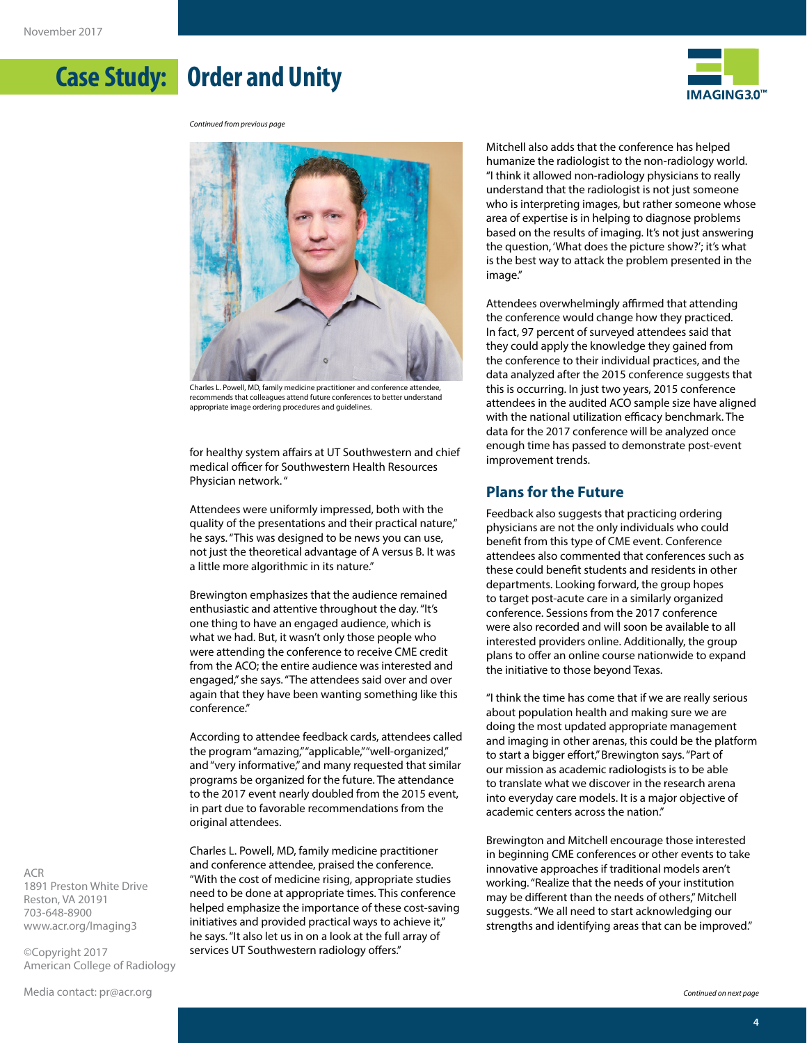**Case Study: Order and Unity**



*Continued from previous page*



recommends that colleagues attend future conferences to better understand appropriate image ordering procedures and guidelines.

for healthy system affairs at UT Southwestern and chief medical officer for Southwestern Health Resources Physician network. "

Attendees were uniformly impressed, both with the quality of the presentations and their practical nature," he says. "This was designed to be news you can use, not just the theoretical advantage of A versus B. It was a little more algorithmic in its nature."

Brewington emphasizes that the audience remained enthusiastic and attentive throughout the day. "It's one thing to have an engaged audience, which is what we had. But, it wasn't only those people who were attending the conference to receive CME credit from the ACO; the entire audience was interested and engaged," she says. "The attendees said over and over again that they have been wanting something like this conference."

According to attendee feedback cards, attendees called the program "amazing," "applicable," "well-organized," and "very informative," and many requested that similar programs be organized for the future. The attendance to the 2017 event nearly doubled from the 2015 event, in part due to favorable recommendations from the original attendees.

Charles L. Powell, MD, family medicine practitioner and conference attendee, praised the conference. "With the cost of medicine rising, appropriate studies need to be done at appropriate times. This conference helped emphasize the importance of these cost-saving initiatives and provided practical ways to achieve it," he says. "It also let us in on a look at the full array of services UT Southwestern radiology offers."

Mitchell also adds that the conference has helped humanize the radiologist to the non-radiology world. "I think it allowed non-radiology physicians to really understand that the radiologist is not just someone who is interpreting images, but rather someone whose area of expertise is in helping to diagnose problems based on the results of imaging. It's not just answering the question, 'What does the picture show?'; it's what is the best way to attack the problem presented in the image."

Attendees overwhelmingly affirmed that attending the conference would change how they practiced. In fact, 97 percent of surveyed attendees said that they could apply the knowledge they gained from the conference to their individual practices, and the data analyzed after the 2015 conference suggests that this is occurring. In just two years, 2015 conference attendees in the audited ACO sample size have aligned with the national utilization efficacy benchmark. The data for the 2017 conference will be analyzed once enough time has passed to demonstrate post-event improvement trends.

#### **Plans for the Future**

Feedback also suggests that practicing ordering physicians are not the only individuals who could benefit from this type of CME event. Conference attendees also commented that conferences such as these could benefit students and residents in other departments. Looking forward, the group hopes to target post-acute care in a similarly organized conference. Sessions from the 2017 conference were also recorded and will soon be available to all interested providers online. Additionally, the group plans to offer an online course nationwide to expand the initiative to those beyond Texas.

"I think the time has come that if we are really serious about population health and making sure we are doing the most updated appropriate management and imaging in other arenas, this could be the platform to start a bigger effort," Brewington says. "Part of our mission as academic radiologists is to be able to translate what we discover in the research arena into everyday care models. It is a major objective of academic centers across the nation."

Brewington and Mitchell encourage those interested in beginning CME conferences or other events to take innovative approaches if traditional models aren't working. "Realize that the needs of your institution may be different than the needs of others," Mitchell suggests. "We all need to start acknowledging our strengths and identifying areas that can be improved."

ACR 1891 Preston White Drive Reston, VA 20191 703-648-8900 [www.acr.org/Imaging3](http://www.acr.org/Imaging3)